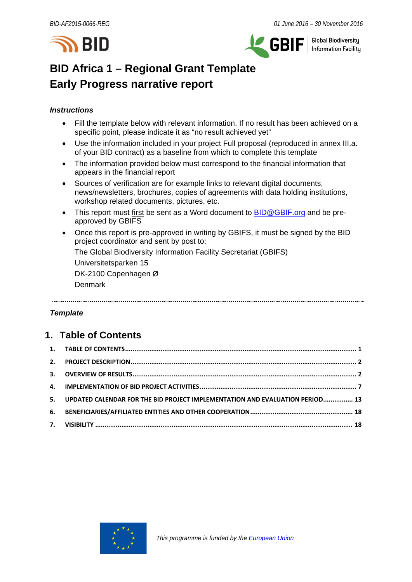



**Global Biodiversity Information Facilitu** 

# **BID Africa 1 – Regional Grant Template Early Progress narrative report**

## *Instructions*

- Fill the template below with relevant information. If no result has been achieved on a specific point, please indicate it as "no result achieved yet"
- Use the information included in your project Full proposal (reproduced in annex III.a. of your BID contract) as a baseline from which to complete this template
- The information provided below must correspond to the financial information that appears in the financial report
- Sources of verification are for example links to relevant digital documents, news/newsletters, brochures, copies of agreements with data holding institutions, workshop related documents, pictures, etc.
- This report must first be sent as a Word document to **BID@GBIF.org** and be preapproved by GBIFS
- Once this report is pre-approved in writing by GBIFS, it must be signed by the BID project coordinator and sent by post to: The Global Biodiversity Information Facility Secretariat (GBIFS)

Universitetsparken 15

DK-2100 Copenhagen Ø

Denmark

# *Template*

# <span id="page-0-0"></span>**1. Table of Contents**

| 5. UPDATED CALENDAR FOR THE BID PROJECT IMPLEMENTATION AND EVALUATION PERIOD 13 |  |
|---------------------------------------------------------------------------------|--|
|                                                                                 |  |
|                                                                                 |  |

<span id="page-0-1"></span>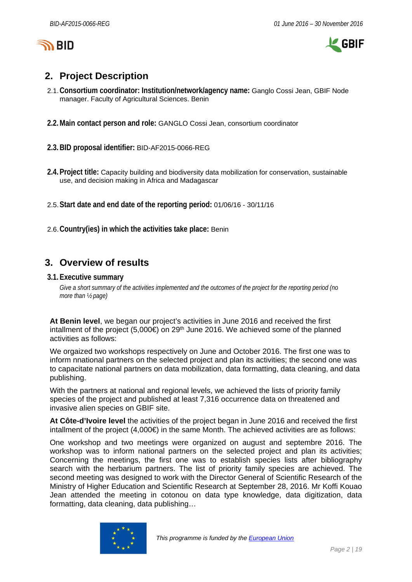

 $\mathcal L$  GBIF

# **2. Project Description**

- 2.1.**Consortium coordinator: Institution/network/agency name:** Ganglo Cossi Jean, GBIF Node manager. Faculty of Agricultural Sciences. Benin
- **2.2.Main contact person and role:** GANGLO Cossi Jean, consortium coordinator

**2.3.BID proposal identifier:** BID-AF2015-0066-REG

- **2.4.Project title:** Capacity building and biodiversity data mobilization for conservation, sustainable use, and decision making in Africa and Madagascar
- 2.5.**Start date and end date of the reporting period:** 01/06/16 30/11/16
- 2.6.**Country(ies) in which the activities take place:** Benin

# <span id="page-1-0"></span>**3. Overview of results**

#### **3.1.Executive summary**

*Give a short summary of the activities implemented and the outcomes of the project for the reporting period (no more than ½ page)*

**At Benin level**, we began our project's activities in June 2016 and received the first intallment of the project (5,000€) on 29<sup>th</sup> June 2016. We achieved some of the planned activities as follows:

We orgaized two workshops respectively on June and October 2016. The first one was to inform nnational partners on the selected project and plan its activities; the second one was to capacitate national partners on data mobilization, data formatting, data cleaning, and data publishing.

With the partners at national and regional levels, we achieved the lists of priority family species of the project and published at least 7,316 occurrence data on threatened and invasive alien species on GBIF site.

**At Côte-d'Ivoire level** the activities of the project began in June 2016 and received the first intallment of the project  $(4,000\epsilon)$  in the same Month. The achieved activities are as follows:

One workshop and two meetings were organized on august and septembre 2016. The workshop was to inform national partners on the selected project and plan its activities; Concerning the meetings, the first one was to establish species lists after bibliography search with the herbarium partners. The list of priority family species are achieved. The second meeting was designed to work with the Director General of Scientific Research of the Ministry of Higher Education and Scientific Research at September 28, 2016. Mr Koffi Kouao Jean attended the meeting in cotonou on data type knowledge, data digitization, data formatting, data cleaning, data publishing…

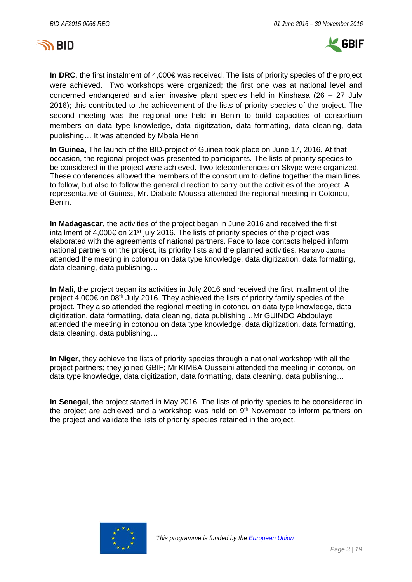



**In DRC**, the first instalment of 4,000€ was received. The lists of priority species of the project were achieved. Two workshops were organized; the first one was at national level and concerned endangered and alien invasive plant species held in Kinshasa (26 – 27 July 2016); this contributed to the achievement of the lists of priority species of the project. The second meeting was the regional one held in Benin to build capacities of consortium members on data type knowledge, data digitization, data formatting, data cleaning, data publishing… It was attended by Mbala Henri

**In Guinea**, The launch of the BID-project of Guinea took place on June 17, 2016. At that occasion, the regional project was presented to participants. The lists of priority species to be considered in the project were achieved. Two teleconferences on Skype were organized. These conferences allowed the members of the consortium to define together the main lines to follow, but also to follow the general direction to carry out the activities of the project. A representative of Guinea, Mr. Diabate Moussa attended the regional meeting in Cotonou, Benin.

**In Madagascar**, the activities of the project began in June 2016 and received the first intallment of 4,000€ on 21<sup>st</sup> july 2016. The lists of priority species of the project was elaborated with the agreements of national partners. Face to face contacts helped inform national partners on the project, its priority lists and the planned activities. Ranaivo Jaona attended the meeting in cotonou on data type knowledge, data digitization, data formatting, data cleaning, data publishing…

**In Mali,** the project began its activities in July 2016 and received the first intallment of the project 4,000€ on 08th July 2016. They achieved the lists of priority family species of the project. They also attended the regional meeting in cotonou on data type knowledge, data digitization, data formatting, data cleaning, data publishing…Mr GUINDO Abdoulaye attended the meeting in cotonou on data type knowledge, data digitization, data formatting, data cleaning, data publishing…

**In Niger**, they achieve the lists of priority species through a national workshop with all the project partners; they joined GBIF; Mr KIMBA Ousseini attended the meeting in cotonou on data type knowledge, data digitization, data formatting, data cleaning, data publishing…

**In Senegal**, the project started in May 2016. The lists of priority species to be coonsidered in the project are achieved and a workshop was held on  $9<sup>th</sup>$  November to inform partners on the project and validate the lists of priority species retained in the project.

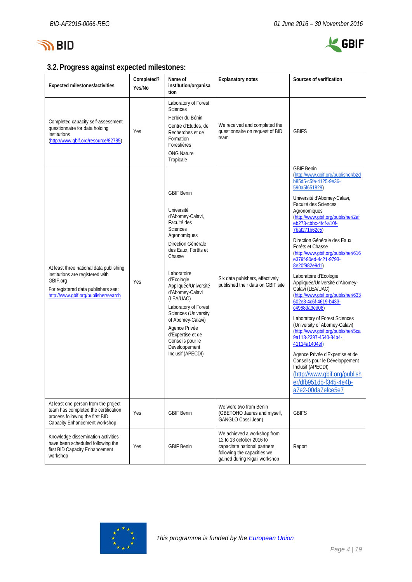



# **3.2.Progress against expected milestones:**

| Expected milestones/activities                                                                                                                                         | Completed?<br>Yes/No | Name of<br>institution/organisa<br>tion                                                                                                                                                                                                                                                                                                                                                                                       | <b>Explanatory notes</b>                                                                                                                                | Sources of verification                                                                                                                                                                                                                                                                                                                                                                                                                                                                                                                                                                                                                                                                                                                                                                                                                                                                 |
|------------------------------------------------------------------------------------------------------------------------------------------------------------------------|----------------------|-------------------------------------------------------------------------------------------------------------------------------------------------------------------------------------------------------------------------------------------------------------------------------------------------------------------------------------------------------------------------------------------------------------------------------|---------------------------------------------------------------------------------------------------------------------------------------------------------|-----------------------------------------------------------------------------------------------------------------------------------------------------------------------------------------------------------------------------------------------------------------------------------------------------------------------------------------------------------------------------------------------------------------------------------------------------------------------------------------------------------------------------------------------------------------------------------------------------------------------------------------------------------------------------------------------------------------------------------------------------------------------------------------------------------------------------------------------------------------------------------------|
| Completed capacity self-assessment<br>questionnaire for data holding<br>institutions<br>(http://www.gbif.org/resource/82785)                                           | Yes                  | Laboratory of Forest<br><b>Sciences</b><br>Herbier du Bénin<br>Centre d'Etudes, de<br>Recherches et de<br>Formation<br>Forestières<br><b>ONG Nature</b><br>Tropicale                                                                                                                                                                                                                                                          | We received and completed the<br>questionnaire on request of BID<br>team                                                                                | <b>GBIFS</b>                                                                                                                                                                                                                                                                                                                                                                                                                                                                                                                                                                                                                                                                                                                                                                                                                                                                            |
| At least three national data publishing<br>institutions are registered with<br>GBIF.org<br>For registered data publishers see:<br>http://www.qbif.org/publisher/search | Yes                  | <b>GBIF Benin</b><br>Université<br>d'Abomey-Calavi,<br>Faculté des<br><b>Sciences</b><br>Agronomiques<br>Direction Générale<br>des Eaux, Forêts et<br>Chasse<br>Laboratoire<br>d'Ecologie<br>Appliquée/Université<br>d'Abomey-Calavi<br>(LEA/UAC)<br>Laboratory of Forest<br><b>Sciences (University</b><br>of Abomey-Calavi)<br>Agence Privée<br>d'Expertise et de<br>Conseils pour le<br>Développement<br>Inclusif (APECDI) | Six data pubishers, effectively<br>published their data on GBIF site                                                                                    | <b>GBIF Benin</b><br>(http://www.qbif.org/publisher/b2d<br>b85d5-c5fe-4125-9e36-<br>590a5f651829)<br>Université d'Abomey-Calavi,<br>Faculté des Sciences<br>Agronomiques<br>(http://www.gbif.org/publisher/2af<br>eb273-cbbc-4fcf-a10f-<br>7baf271b62c5)<br>Direction Générale des Eaux,<br>Forêts et Chasse<br>(http://www.qbif.org/publisher/616<br>e379f-90ed-4c21-9793-<br>8e20f982e9d1)<br>Laboratoire d'Ecologie<br>Appliquée/Université d'Abomey-<br>Calavi (LEA/UAC)<br>(http://www.qbif.org/publisher/633<br>602e8-4c6f-4619-b433-<br>c4968da3ed08)<br>Laboratory of Forest Sciences<br>(University of Abomey-Calavi)<br>(http://www.qbif.org/publisher/5ca<br>9a113-2397-4540-84b4-<br>41114a1404ef)<br>Agence Privée d'Expertise et de<br>Conseils pour le Développement<br>Inclusif (APECDI)<br>(http://www.gbif.org/publish<br>er/dfb951db-f345-4e4b-<br>a7e2-00da7efce5e7 |
| At least one person from the project<br>team has completed the certification<br>process following the first BID<br>Capacity Enhancement workshop                       | Yes                  | <b>GBIF Benin</b>                                                                                                                                                                                                                                                                                                                                                                                                             | We were two from Benin<br>(GBETOHO Jaures and myself,<br>GANGLO Cossi Jean)                                                                             | <b>GBIFS</b>                                                                                                                                                                                                                                                                                                                                                                                                                                                                                                                                                                                                                                                                                                                                                                                                                                                                            |
| Knowledge dissemination activities<br>have been scheduled following the<br>first BID Capacity Enhancement<br>workshop                                                  | Yes                  | <b>GBIF Benin</b>                                                                                                                                                                                                                                                                                                                                                                                                             | We achieved a workshop from<br>12 to 13 october 2016 to<br>capacitate national partners<br>following the capacities we<br>gained during Kigali workshop | Report                                                                                                                                                                                                                                                                                                                                                                                                                                                                                                                                                                                                                                                                                                                                                                                                                                                                                  |

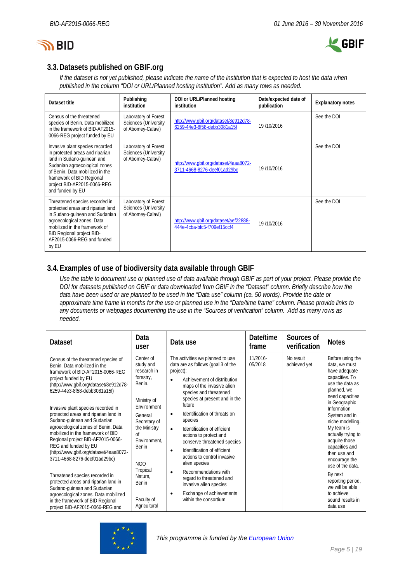



# **3.3.Datasets published on GBIF.org**

*If the dataset is not yet published, please indicate the name of the institution that is expected to host the data when published in the column "DOI or URL/Planned hosting institution". Add as many rows as needed.*

| Dataset title                                                                                                                                                                                                                                        | Publishing<br>institution                                                | DOI or URL/Planned hosting<br>institution                            | Date/expected date of<br>publication | <b>Explanatory notes</b> |
|------------------------------------------------------------------------------------------------------------------------------------------------------------------------------------------------------------------------------------------------------|--------------------------------------------------------------------------|----------------------------------------------------------------------|--------------------------------------|--------------------------|
| Census of the threatened<br>species of Benin. Data mobilized<br>in the framework of BID-AF2015-<br>0066-REG project funded by EU                                                                                                                     | Laboratory of Forest<br><b>Sciences (University</b><br>of Abomey-Calavi) | http://www.gbif.org/dataset/8e912d78-<br>6259-44e3-8f58-debb3081a15f | 19/10/2016                           | See the DOI              |
| Invasive plant species recorded<br>in protected areas and riparian<br>land in Sudano-quinean and<br>Sudanian agroecological zones<br>of Benin. Data mobilized in the<br>framework of BID Regional<br>project BID-AF2015-0066-REG<br>and funded by EU | Laboratory of Forest<br><b>Sciences (University</b><br>of Abomey-Calavi) | http://www.gbif.org/dataset/4aaa8072-<br>3711-4668-8276-deef01ad29bc | 19/10/2016                           | See the DOI              |
| Threatened species recorded in<br>protected areas and riparian land<br>in Sudano-guinean and Sudanian<br>agroecological zones. Data<br>mobilized in the framework of<br>BID Regional project BID-<br>AF2015-0066-REG and funded<br>by EU             | Laboratory of Forest<br><b>Sciences (University</b><br>of Abomey-Calavi) | http://www.qbif.org/dataset/aef22888-<br>444e-4cba-bfc5-f709ef15ccf4 | 19/10/2016                           | See the DOI              |

# **3.4.Examples of use of biodiversity data available through GBIF**

*Use the table to document use or planned use of data available through GBIF as part of your project. Please provide the DOI for datasets published on GBIF or data downloaded from GBIF in the "Dataset" column. Briefly describe how the data have been used or are planned to be used in the "Data use" column (ca. 50 words). Provide the date or approximate time frame in months for the use or planned use in the "Date/time frame" column. Please provide links to any documents or webpages documenting the use in the "Sources of verification" column. Add as many rows as needed.*

| <b>Dataset</b>                                                                                                                                                                                                                                                                                                                                                                                                                                                                                                                                                                                                                                                                                                                                                    | Data<br>user                                                                                                                                                                                                                                            | Data use                                                                                                                                                                                                                                                                                                                                                                                                                                                                                                                                                                                                                         | Date/time<br>frame  | Sources of<br>verification | <b>Notes</b>                                                                                                                                                                                                                                                                                                                                                                                                                |
|-------------------------------------------------------------------------------------------------------------------------------------------------------------------------------------------------------------------------------------------------------------------------------------------------------------------------------------------------------------------------------------------------------------------------------------------------------------------------------------------------------------------------------------------------------------------------------------------------------------------------------------------------------------------------------------------------------------------------------------------------------------------|---------------------------------------------------------------------------------------------------------------------------------------------------------------------------------------------------------------------------------------------------------|----------------------------------------------------------------------------------------------------------------------------------------------------------------------------------------------------------------------------------------------------------------------------------------------------------------------------------------------------------------------------------------------------------------------------------------------------------------------------------------------------------------------------------------------------------------------------------------------------------------------------------|---------------------|----------------------------|-----------------------------------------------------------------------------------------------------------------------------------------------------------------------------------------------------------------------------------------------------------------------------------------------------------------------------------------------------------------------------------------------------------------------------|
| Census of the threatened species of<br>Benin. Data mobilized in the<br>framework of BID-AF2015-0066-REG<br>project funded by EU<br>(http://www.gbif.org/dataset/8e912d78-<br>6259-44e3-8f58-debb3081a15f)<br>Invasive plant species recorded in<br>protected areas and riparian land in<br>Sudano-guinean and Sudanian<br>agroecological zones of Benin. Data<br>mobilized in the framework of BID<br>Regional project BID-AF2015-0066-<br>REG and funded by EU<br>(http://www.qbif.org/dataset/4aaa8072-<br>3711-4668-8276-deef01ad29bc)<br>Threatened species recorded in<br>protected areas and riparian land in<br>Sudano-guinean and Sudanian<br>agroecological zones. Data mobilized<br>in the framework of BID Regional<br>project BID-AF2015-0066-REG and | Center of<br>study and<br>research in<br>forestry,<br>Benin.<br>Ministry of<br>Environment<br>General<br>Secretary of<br>the Ministry<br>of<br>Environment.<br><b>Benin</b><br>NGO<br>Tropical<br>Nature.<br><b>Benin</b><br>Faculty of<br>Agricultural | The activities we planned to use<br>data are as follows (goal 3 of the<br>project):<br>Achievement of distribution<br>$\bullet$<br>maps of the invasive alien<br>species and threatened<br>species at present and in the<br>future<br>Identification of threats on<br>٠<br>species<br>Identification of efficient<br>$\bullet$<br>actions to protect and<br>conserve threatened species<br>Identification of efficient<br>$\bullet$<br>actions to control invasive<br>alien species<br>Recommendations with<br>٠<br>regard to threatened and<br>invasive alien species<br>Exchange of achievements<br>٠<br>within the consortium | 11/2016-<br>05/2018 | No result<br>achieved yet  | Before using the<br>data, we must<br>have adequate<br>capacities. To<br>use the data as<br>planned, we<br>need capacities<br>in Geographic<br>Information<br>System and in<br>niche modelling.<br>My team is<br>actually trying to<br>acquire those<br>capacities and<br>then use and<br>encourage the<br>use of the data.<br>By next<br>reporting period,<br>we will be able<br>to achieve<br>sound results in<br>data use |

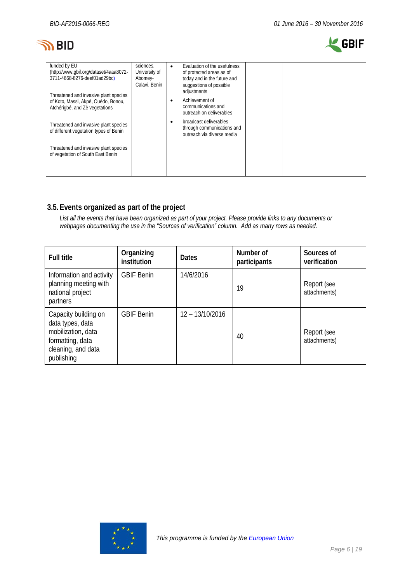# **SO BID**



| funded by EU<br>(http://www.qbif.org/dataset/4aaa8072-<br>3711-4668-8276-deef01ad29bc)                         | sciences.<br>University of<br>Abomey-<br>Calavi, Benin | Evaluation of the usefulness<br>$\bullet$<br>of protected areas as of<br>today and in the future and<br>suggestions of possible |
|----------------------------------------------------------------------------------------------------------------|--------------------------------------------------------|---------------------------------------------------------------------------------------------------------------------------------|
| Threatened and invasive plant species<br>of Koto, Massi, Akpè, Ouèdo, Bonou,<br>Atchérigbé, and Zè vegetations |                                                        | adjustments<br>Achievement of<br>٠<br>communications and<br>outreach on deliverables                                            |
| Threatened and invasive plant species<br>of different vegetation types of Benin                                |                                                        | broadcast deliverables<br>٠<br>through communications and<br>outreach via diverse media                                         |
| Threatened and invasive plant species<br>of vegetation of South East Benin                                     |                                                        |                                                                                                                                 |

# **3.5.Events organized as part of the project**

*List all the events that have been organized as part of your project. Please provide links to any documents or webpages documenting the use in the "Sources of verification" column. Add as many rows as needed.*

<span id="page-5-0"></span>

| <b>Full title</b>                                                                                                      | Organizing<br>institution | <b>Dates</b>    | Number of<br>participants | Sources of<br>verification  |
|------------------------------------------------------------------------------------------------------------------------|---------------------------|-----------------|---------------------------|-----------------------------|
| Information and activity<br>planning meeting with<br>national project<br>partners                                      | <b>GBIF Benin</b>         | 14/6/2016       | 19                        | Report (see<br>attachments) |
| Capacity building on<br>data types, data<br>mobilization, data<br>formatting, data<br>cleaning, and data<br>publishing | <b>GBIF Benin</b>         | 12 - 13/10/2016 | 40                        | Report (see<br>attachments) |

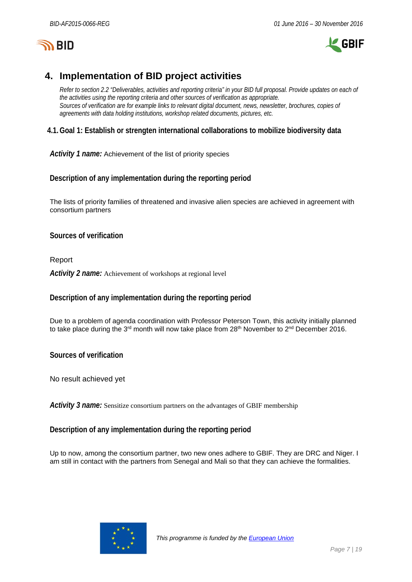



# **4. Implementation of BID project activities**

*Refer to section 2.2 "Deliverables, activities and reporting criteria" in your BID full proposal. Provide updates on each of the activities using the reporting criteria and other sources of verification as appropriate. Sources of verification are for example links to relevant digital document, news, newsletter, brochures, copies of agreements with data holding institutions, workshop related documents, pictures, etc.*

# **4.1.Goal 1: Establish or strengten international collaborations to mobilize biodiversity data**

*Activity 1 name:* Achievement of the list of priority species

**Description of any implementation during the reporting period**

The lists of priority families of threatened and invasive alien species are achieved in agreement with consortium partners

**Sources of verification**

Report *Activity 2 name:* Achievement of workshops at regional level

# **Description of any implementation during the reporting period**

Due to a problem of agenda coordination with Professor Peterson Town, this activity initially planned to take place during the 3<sup>rd</sup> month will now take place from 28<sup>th</sup> November to 2<sup>nd</sup> December 2016.

**Sources of verification**

No result achieved yet

*Activity 3 name:* Sensitize consortium partners on the advantages of GBIF membership

### **Description of any implementation during the reporting period**

Up to now, among the consortium partner, two new ones adhere to GBIF. They are DRC and Niger. I am still in contact with the partners from Senegal and Mali so that they can achieve the formalities.

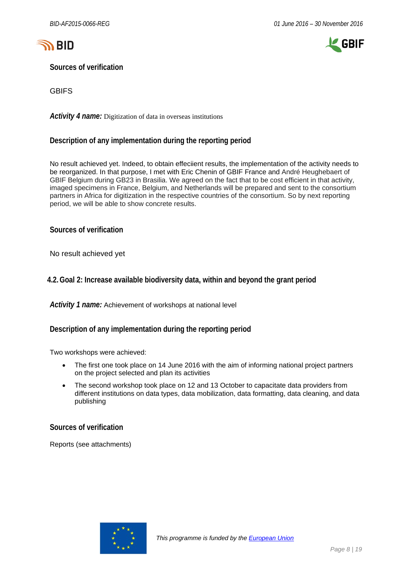



**Sources of verification**

**GBIFS** 

*Activity 4 name:* Digitization of data in overseas institutions

### **Description of any implementation during the reporting period**

No result achieved yet. Indeed, to obtain effeciient results, the implementation of the activity needs to be reorganized. In that purpose, I met with Eric Chenin of GBIF France and André Heughebaert of GBIF Belgium during GB23 in Brasilia. We agreed on the fact that to be cost efficient in that activity, imaged specimens in France, Belgium, and Netherlands will be prepared and sent to the consortium partners in Africa for digitization in the respective countries of the consortium. So by next reporting period, we will be able to show concrete results.

**Sources of verification**

No result achieved yet

### **4.2.Goal 2: Increase available biodiversity data, within and beyond the grant period**

*Activity 1 name:* Achievement of workshops at national level

**Description of any implementation during the reporting period**

Two workshops were achieved:

- The first one took place on 14 June 2016 with the aim of informing national project partners on the project selected and plan its activities
- The second workshop took place on 12 and 13 October to capacitate data providers from different institutions on data types, data mobilization, data formatting, data cleaning, and data publishing

**Sources of verification**

Reports (see attachments)

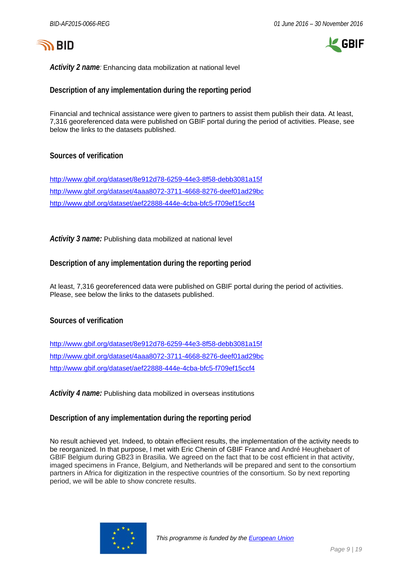



*Activity 2 name:* Enhancing data mobilization at national level

**Description of any implementation during the reporting period**

Financial and technical assistance were given to partners to assist them publish their data. At least, 7,316 georeferenced data were published on GBIF portal during the period of activities. Please, see below the links to the datasets published.

#### **Sources of verification**

<http://www.gbif.org/dataset/8e912d78-6259-44e3-8f58-debb3081a15f> <http://www.gbif.org/dataset/4aaa8072-3711-4668-8276-deef01ad29bc> <http://www.gbif.org/dataset/aef22888-444e-4cba-bfc5-f709ef15ccf4>

*Activity 3 name:* Publishing data mobilized at national level

**Description of any implementation during the reporting period**

At least, 7,316 georeferenced data were published on GBIF portal during the period of activities. Please, see below the links to the datasets published.

### **Sources of verification**

<http://www.gbif.org/dataset/8e912d78-6259-44e3-8f58-debb3081a15f> <http://www.gbif.org/dataset/4aaa8072-3711-4668-8276-deef01ad29bc> <http://www.gbif.org/dataset/aef22888-444e-4cba-bfc5-f709ef15ccf4>

*Activity 4 name:* Publishing data mobilized in overseas institutions

#### **Description of any implementation during the reporting period**

No result achieved yet. Indeed, to obtain effeciient results, the implementation of the activity needs to be reorganized. In that purpose, I met with Eric Chenin of GBIF France and André Heughebaert of GBIF Belgium during GB23 in Brasilia. We agreed on the fact that to be cost efficient in that activity, imaged specimens in France, Belgium, and Netherlands will be prepared and sent to the consortium partners in Africa for digitization in the respective countries of the consortium. So by next reporting period, we will be able to show concrete results.

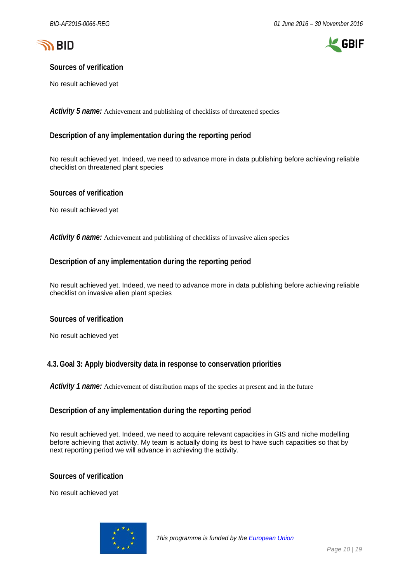



### **Sources of verification**

No result achieved yet

*Activity 5 name:* Achievement and publishing of checklists of threatened species

### **Description of any implementation during the reporting period**

No result achieved yet. Indeed, we need to advance more in data publishing before achieving reliable checklist on threatened plant species

#### **Sources of verification**

No result achieved yet

*Activity 6 name:* Achievement and publishing of checklists of invasive alien species

#### **Description of any implementation during the reporting period**

No result achieved yet. Indeed, we need to advance more in data publishing before achieving reliable checklist on invasive alien plant species

#### **Sources of verification**

No result achieved yet

#### **4.3.Goal 3: Apply biodversity data in response to conservation priorities**

*Activity 1 name:* Achievement of distribution maps of the species at present and in the future

#### **Description of any implementation during the reporting period**

No result achieved yet. Indeed, we need to acquire relevant capacities in GIS and niche modelling before achieving that activity. My team is actually doing its best to have such capacities so that by next reporting period we will advance in achieving the activity.

**Sources of verification**

No result achieved yet

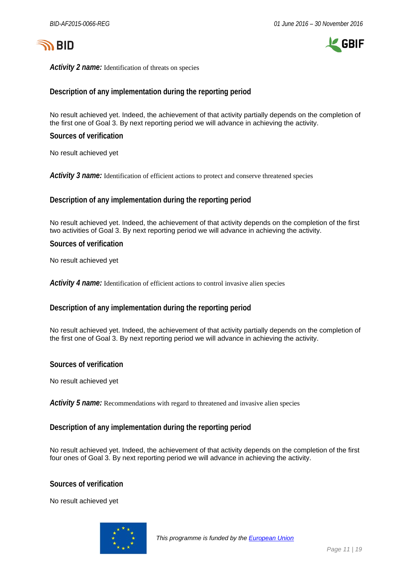



*Activity 2 name:* Identification of threats on species

#### **Description of any implementation during the reporting period**

No result achieved yet. Indeed, the achievement of that activity partially depends on the completion of the first one of Goal 3. By next reporting period we will advance in achieving the activity.

**Sources of verification**

No result achieved yet

Activity 3 name: Identification of efficient actions to protect and conserve threatened species

**Description of any implementation during the reporting period**

No result achieved yet. Indeed, the achievement of that activity depends on the completion of the first two activities of Goal 3. By next reporting period we will advance in achieving the activity.

#### **Sources of verification**

No result achieved yet

*Activity 4 name:* Identification of efficient actions to control invasive alien species

#### **Description of any implementation during the reporting period**

No result achieved yet. Indeed, the achievement of that activity partially depends on the completion of the first one of Goal 3. By next reporting period we will advance in achieving the activity.

**Sources of verification**

No result achieved yet

*Activity 5 name:* Recommendations with regard to threatened and invasive alien species

#### **Description of any implementation during the reporting period**

No result achieved yet. Indeed, the achievement of that activity depends on the completion of the first four ones of Goal 3. By next reporting period we will advance in achieving the activity.

#### **Sources of verification**

No result achieved yet

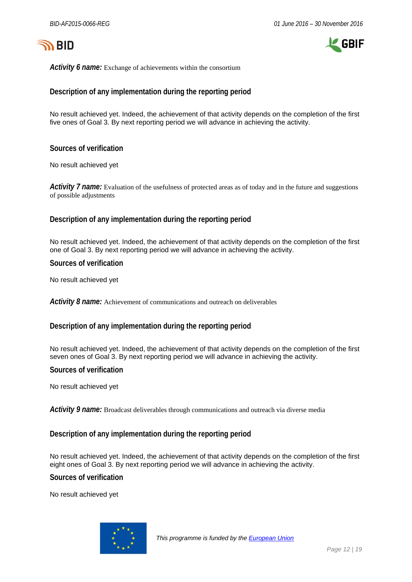



*Activity 6 name:* Exchange of achievements within the consortium

#### **Description of any implementation during the reporting period**

No result achieved yet. Indeed, the achievement of that activity depends on the completion of the first five ones of Goal 3. By next reporting period we will advance in achieving the activity.

**Sources of verification**

No result achieved yet

*Activity 7 name:* Evaluation of the usefulness of protected areas as of today and in the future and suggestions of possible adjustments

#### **Description of any implementation during the reporting period**

No result achieved yet. Indeed, the achievement of that activity depends on the completion of the first one of Goal 3. By next reporting period we will advance in achieving the activity.

**Sources of verification**

No result achieved yet

*Activity 8 name:* Achievement of communications and outreach on deliverables

#### **Description of any implementation during the reporting period**

No result achieved yet. Indeed, the achievement of that activity depends on the completion of the first seven ones of Goal 3. By next reporting period we will advance in achieving the activity.

#### **Sources of verification**

No result achieved yet

*Activity 9 name:* Broadcast deliverables through communications and outreach via diverse media

#### **Description of any implementation during the reporting period**

No result achieved yet. Indeed, the achievement of that activity depends on the completion of the first eight ones of Goal 3. By next reporting period we will advance in achieving the activity.

**Sources of verification**

No result achieved yet

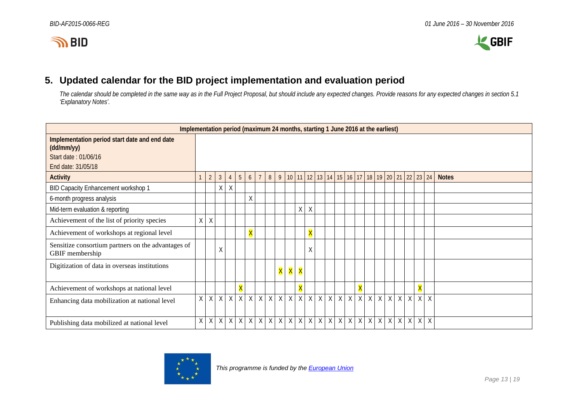



# **5. Updated calendar for the BID project implementation and evaluation period**

*The calendar should be completed in the same way as in the Full Project Proposal, but should include any expected changes. Provide reasons for any expected changes in section 5.1 'Explanatory Notes'.*

<span id="page-12-0"></span>

| Implementation period (maximum 24 months, starting 1 June 2016 at the earliest)                           |    |                |                |                |                         |                         |                |                |   |                         |                         |                         |  |                                                                              |                         |   |   |         |                |                |                         |                   |              |
|-----------------------------------------------------------------------------------------------------------|----|----------------|----------------|----------------|-------------------------|-------------------------|----------------|----------------|---|-------------------------|-------------------------|-------------------------|--|------------------------------------------------------------------------------|-------------------------|---|---|---------|----------------|----------------|-------------------------|-------------------|--------------|
| Implementation period start date and end date<br>(dd/mm/yy)<br>Start date: 01/06/16<br>End date: 31/05/18 |    |                |                |                |                         |                         |                |                |   |                         |                         |                         |  |                                                                              |                         |   |   |         |                |                |                         |                   |              |
| <b>Activity</b>                                                                                           |    | 2              | 3 <sup>2</sup> | $\overline{4}$ | 5                       | 6 <sup>1</sup>          | $\overline{7}$ | 8 <sup>°</sup> |   |                         |                         |                         |  | 9   10   11   12   13   14   15   16   17   18   19   20   21   22   23   24 |                         |   |   |         |                |                |                         |                   | <b>Notes</b> |
| BID Capacity Enhancement workshop 1                                                                       |    |                | Χ              | $\sf X$        |                         |                         |                |                |   |                         |                         |                         |  |                                                                              |                         |   |   |         |                |                |                         |                   |              |
| 6-month progress analysis                                                                                 |    |                |                |                |                         | $\sf X$                 |                |                |   |                         |                         |                         |  |                                                                              |                         |   |   |         |                |                |                         |                   |              |
| Mid-term evaluation & reporting                                                                           |    |                |                |                |                         |                         |                |                |   |                         | Χ                       | X                       |  |                                                                              |                         |   |   |         |                |                |                         |                   |              |
| Achievement of the list of priority species                                                               | Χ  | χ              |                |                |                         |                         |                |                |   |                         |                         |                         |  |                                                                              |                         |   |   |         |                |                |                         |                   |              |
| Achievement of workshops at regional level                                                                |    |                |                |                |                         | $\overline{\mathsf{X}}$ |                |                |   |                         |                         | $\overline{\mathsf{X}}$ |  |                                                                              |                         |   |   |         |                |                |                         |                   |              |
| Sensitize consortium partners on the advantages of<br>GBIF membership                                     |    |                | Χ              |                |                         |                         |                |                |   |                         |                         | Χ                       |  |                                                                              |                         |   |   |         |                |                |                         |                   |              |
| Digitization of data in overseas institutions                                                             |    |                |                |                |                         |                         |                |                | X | $\overline{\mathsf{X}}$ | $\overline{\mathsf{X}}$ |                         |  |                                                                              |                         |   |   |         |                |                |                         |                   |              |
| Achievement of workshops at national level                                                                |    |                |                |                | $\overline{\mathsf{X}}$ |                         |                |                |   |                         | $\overline{\mathsf{X}}$ |                         |  |                                                                              | $\overline{\mathsf{X}}$ |   |   |         |                |                | $\overline{\mathsf{X}}$ |                   |              |
| Enhancing data mobilization at national level                                                             | X. | $\overline{X}$ | X              | $\overline{X}$ | $\overline{X}$          | $\overline{X}$          | $\overline{X}$ | $\overline{X}$ |   | $X$ $X$                 |                         |                         |  | $X$ $X$ $X$ $X$ $X$ $X$ $X$                                                  |                         | X | X | X       | $\overline{X}$ | $\overline{X}$ | $\overline{X}$          | $\overline{\chi}$ |              |
| Publishing data mobilized at national level                                                               | X. | $\sf X$        | X              | X              | X                       | $\sf X$                 | X              | $\times$       |   | $X \times$              |                         |                         |  | $X$ $X$ $X$ $X$ $X$ $X$ $X$ $X$ $X$                                          |                         |   |   | $X$ $X$ | X              | X              | $\sf X$                 | $\mathsf{X}$      |              |

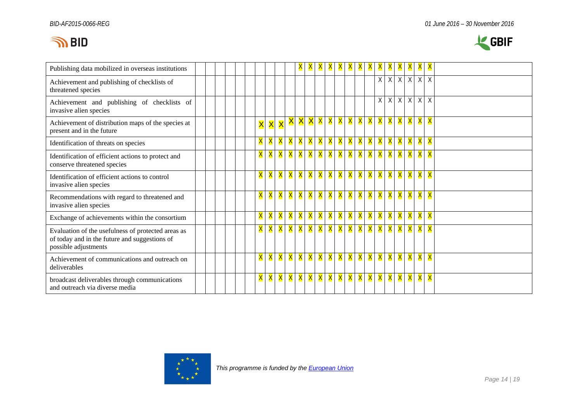

| Publishing data mobilized in overseas institutions                                                                          |  |  |  |                         |                         |                         |                   |                |          |                         |                         |          |   | A | <u>A</u> | A | A                       | A | $\Lambda$               | Y                       | $\mathbf{X}$            |  |
|-----------------------------------------------------------------------------------------------------------------------------|--|--|--|-------------------------|-------------------------|-------------------------|-------------------|----------------|----------|-------------------------|-------------------------|----------|---|---|----------|---|-------------------------|---|-------------------------|-------------------------|-------------------------|--|
| Achievement and publishing of checklists of<br>threatened species                                                           |  |  |  |                         |                         |                         |                   |                |          |                         |                         |          |   |   |          | χ | X                       | X | X                       | $\overline{X}$          | Χ                       |  |
| Achievement and publishing of checklists of<br>invasive alien species                                                       |  |  |  |                         |                         |                         |                   |                |          |                         |                         |          |   |   |          | Χ | Χ                       | Χ | $\sf X$                 | $\chi$                  | $\chi$                  |  |
| Achievement of distribution maps of the species at<br>present and in the future                                             |  |  |  | $\overline{\mathsf{x}}$ | $\overline{\mathsf{x}}$ | $\overline{\mathsf{X}}$ | X                 | X              |          | $\mathsf{X} \mathsf{X}$ | <mark>X X</mark> I      |          | X | X | X        | X | X                       | X | X                       | $\overline{\mathbf{X}}$ | X                       |  |
| Identification of threats on species                                                                                        |  |  |  | X                       | X                       | $\mathsf{X}$ .          | $\mathsf{X}$ .    | <b>X</b>       | <b>X</b> | X                       | X                       | X        | X | X | X        | X | X                       | X | X                       | X                       | X                       |  |
| Identification of efficient actions to protect and<br>conserve threatened species                                           |  |  |  | X                       | X                       |                         | X   X   X   X   X |                |          |                         | <mark>X X</mark>        |          | X | X | <b>X</b> | X | X                       | X | X                       | X                       | X                       |  |
| Identification of efficient actions to control<br>invasive alien species                                                    |  |  |  | $\overline{\mathsf{X}}$ | $\overline{\mathsf{X}}$ | <b>X</b>                | X l               | $\mathsf{X}$ . | X        | X                       | X                       | X        | X | X | X        | X | $\mathsf{\overline{X}}$ | X | $\overline{\mathsf{X}}$ | X                       | $\overline{\mathsf{X}}$ |  |
| Recommendations with regard to threatened and<br>invasive alien species                                                     |  |  |  | X                       | X                       | <b>X</b>                |                   | X X X X        |          |                         | $\mathsf{X} \mathsf{X}$ |          | X | X | X        | X | X                       | X | X                       | X                       | X                       |  |
| Exchange of achievements within the consortium                                                                              |  |  |  | X                       | X                       | $\mathsf{X}$            | $\mathsf{X}$ .    | <b>X</b>       | X        | X                       | X                       | X        | X | X | X        | X | X                       | X | X                       | X                       | X                       |  |
| Evaluation of the usefulness of protected areas as<br>of today and in the future and suggestions of<br>possible adjustments |  |  |  | X                       | X                       | <b>X</b>                |                   | X X X X        |          |                         | <b>X</b>                | <b>X</b> | X | X | X        | X | X                       | X | X                       | X                       | X                       |  |
| Achievement of communications and outreach on<br>deliverables                                                               |  |  |  | X                       | X                       | <b>X</b>                |                   | X X X X        |          |                         | <b>X</b>                | X        | X | X | X        | X | X                       | X | X                       | X                       | X                       |  |
| broadcast deliverables through communications<br>and outreach via diverse media                                             |  |  |  | X                       | X                       | <b>X</b>                | $\mathsf{X}$ .    | <b>X</b>       |          | <mark>X</mark> X        | <b>X</b>                | X        | X | X | X        | X | X                       | X | X                       | X                       | X                       |  |

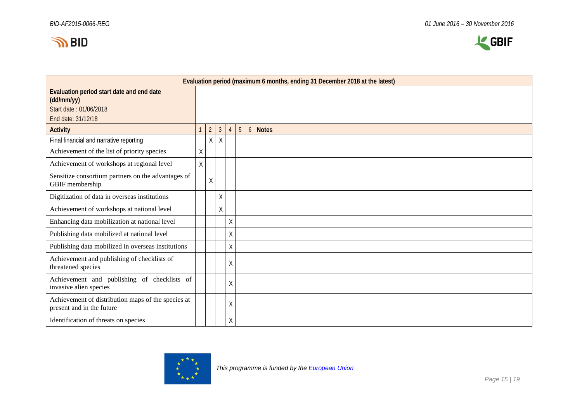



|                                                                                                         |   |                |              |                |                 |                 | Evaluation period (maximum 6 months, ending 31 December 2018 at the latest) |
|---------------------------------------------------------------------------------------------------------|---|----------------|--------------|----------------|-----------------|-----------------|-----------------------------------------------------------------------------|
| Evaluation period start date and end date<br>(dd/mm/yy)<br>Start date: 01/06/2018<br>End date: 31/12/18 |   |                |              |                |                 |                 |                                                                             |
| <b>Activity</b>                                                                                         |   | $\overline{2}$ | $\mathbf{3}$ | $\overline{4}$ | $5\phantom{.0}$ | $6\overline{6}$ | <b>Notes</b>                                                                |
| Final financial and narrative reporting                                                                 |   | Χ              | Χ            |                |                 |                 |                                                                             |
| Achievement of the list of priority species                                                             | Χ |                |              |                |                 |                 |                                                                             |
| Achievement of workshops at regional level                                                              | X |                |              |                |                 |                 |                                                                             |
| Sensitize consortium partners on the advantages of<br>GBIF membership                                   |   | X              |              |                |                 |                 |                                                                             |
| Digitization of data in overseas institutions                                                           |   |                | $\sf X$      |                |                 |                 |                                                                             |
| Achievement of workshops at national level                                                              |   |                | $\mathsf X$  |                |                 |                 |                                                                             |
| Enhancing data mobilization at national level                                                           |   |                |              | $\sf X$        |                 |                 |                                                                             |
| Publishing data mobilized at national level                                                             |   |                |              | $\sf X$        |                 |                 |                                                                             |
| Publishing data mobilized in overseas institutions                                                      |   |                |              | $\sf X$        |                 |                 |                                                                             |
| Achievement and publishing of checklists of<br>threatened species                                       |   |                |              | $\sf X$        |                 |                 |                                                                             |
| Achievement and publishing of checklists of<br>invasive alien species                                   |   |                |              | $\sf X$        |                 |                 |                                                                             |
| Achievement of distribution maps of the species at<br>present and in the future                         |   |                |              | $\sf X$        |                 |                 |                                                                             |
| Identification of threats on species                                                                    |   |                |              | $\mathsf X$    |                 |                 |                                                                             |

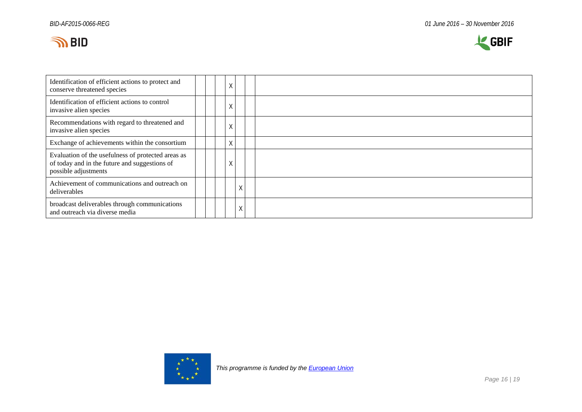



| Identification of efficient actions to protect and<br>conserve threatened species                                           | Χ |   |  |
|-----------------------------------------------------------------------------------------------------------------------------|---|---|--|
| Identification of efficient actions to control<br>invasive alien species                                                    | Χ |   |  |
| Recommendations with regard to threatened and<br>invasive alien species                                                     | Χ |   |  |
| Exchange of achievements within the consortium                                                                              | Χ |   |  |
| Evaluation of the usefulness of protected areas as<br>of today and in the future and suggestions of<br>possible adjustments | Χ |   |  |
| Achievement of communications and outreach on<br>deliverables                                                               |   | Χ |  |
| broadcast deliverables through communications<br>and outreach via diverse media                                             |   | Χ |  |

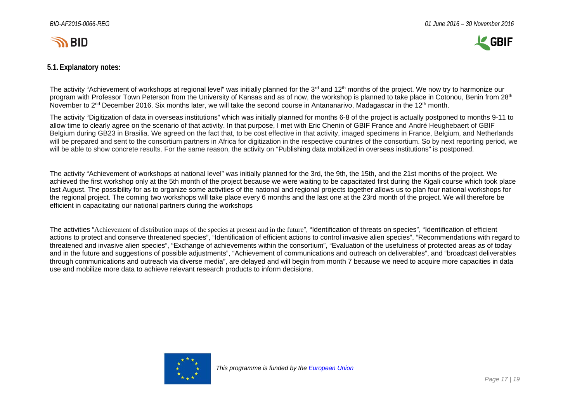

## **5.1.Explanatory notes:**

The activity "Achievement of workshops at regional level" was initially planned for the 3<sup>rd</sup> and 12<sup>th</sup> months of the project. We now try to harmonize our program with Professor Town Peterson from the University of Kansas and as of now, the workshop is planned to take place in Cotonou, Benin from 28<sup>th</sup> November to 2<sup>nd</sup> December 2016. Six months later, we will take the second course in Antananarivo, Madagascar in the 12<sup>th</sup> month.

The activity "Digitization of data in overseas institutions" which was initially planned for months 6-8 of the project is actually postponed to months 9-11 to allow time to clearly agree on the scenario of that activity. In that purpose, I met with Eric Chenin of GBIF France and André Heughebaert of GBIF Belgium during GB23 in Brasilia. We agreed on the fact that, to be cost effective in that activity, imaged specimens in France, Belgium, and Netherlands will be prepared and sent to the consortium partners in Africa for digitization in the respective countries of the consortium. So by next reporting period, we will be able to show concrete results. For the same reason, the activity on "Publishing data mobilized in overseas institutions" is postponed.

The activity "Achievement of workshops at national level" was initially planned for the 3rd, the 9th, the 15th, and the 21st months of the project. We achieved the first workshop only at the 5th month of the project because we were waiting to be capacitated first during the Kigali course which took place last August. The possibility for as to organize some activities of the national and regional projects together allows us to plan four national workshops for the regional project. The coming two workshops will take place every 6 months and the last one at the 23rd month of the project. We will therefore be efficient in capacitating our national partners during the workshops

The activities "Achievement of distribution maps of the species at present and in the future", "Identification of threats on species", "Identification of efficient actions to protect and conserve threatened species", "Identification of efficient actions to control invasive alien species", "Recommendations with regard to threatened and invasive alien species", "Exchange of achievements within the consortium", "Evaluation of the usefulness of protected areas as of today and in the future and suggestions of possible adjustments", "Achievement of communications and outreach on deliverables", and "broadcast deliverables through communications and outreach via diverse media", are delayed and will begin from month 7 because we need to acquire more capacities in data use and mobilize more data to achieve relevant research products to inform decisions.

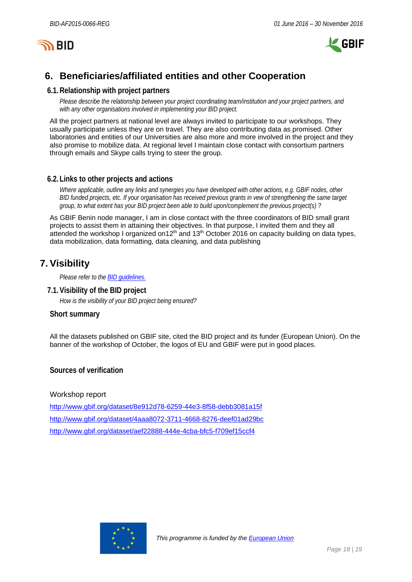



# <span id="page-17-0"></span>**6. Beneficiaries/affiliated entities and other Cooperation**

#### **6.1.Relationship with project partners**

*Please describe the relationship between your project coordinating team/institution and your project partners, and with any other organisations involved in implementing your BID project.*

All the project partners at national level are always invited to participate to our workshops. They usually participate unless they are on travel. They are also contributing data as promised. Other laboratories and entities of our Universities are also more and more involved in the project and they also promise to mobilize data. At regional level I maintain close contact with consortium partners through emails and Skype calls trying to steer the group.

#### **6.2. Links to other projects and actions**

*Where applicable, outline any links and synergies you have developed with other actions, e.g. GBIF nodes, other BID funded projects, etc. If your organisation has received previous grants in vew of strengthening the same target group, to what extent has your BID project been able to build upon/complement the previous project(s) ?*

As GBIF Benin node manager, I am in close contact with the three coordinators of BID small grant projects to assist them in attaining their objectives. In that purpose, I invited them and they all attended the workshop I organized on12<sup>th</sup> and 13<sup>th</sup> October 2016 on capacity building on data types, data mobilization, data formatting, data cleaning, and data publishing

# <span id="page-17-1"></span>**7. Visibility**

*Please refer to th[e BID guidelines.](http://bid.gbif.org/en/community/communication-guidelines/)*

**7.1.Visibility of the BID project**

*How is the visibility of your BID project being ensured?*

#### **Short summary**

All the datasets published on GBIF site, cited the BID project and its funder (European Union). On the banner of the workshop of October, the logos of EU and GBIF were put in good places.

**Sources of verification**

Workshop report

<http://www.gbif.org/dataset/8e912d78-6259-44e3-8f58-debb3081a15f> <http://www.gbif.org/dataset/4aaa8072-3711-4668-8276-deef01ad29bc> <http://www.gbif.org/dataset/aef22888-444e-4cba-bfc5-f709ef15ccf4>